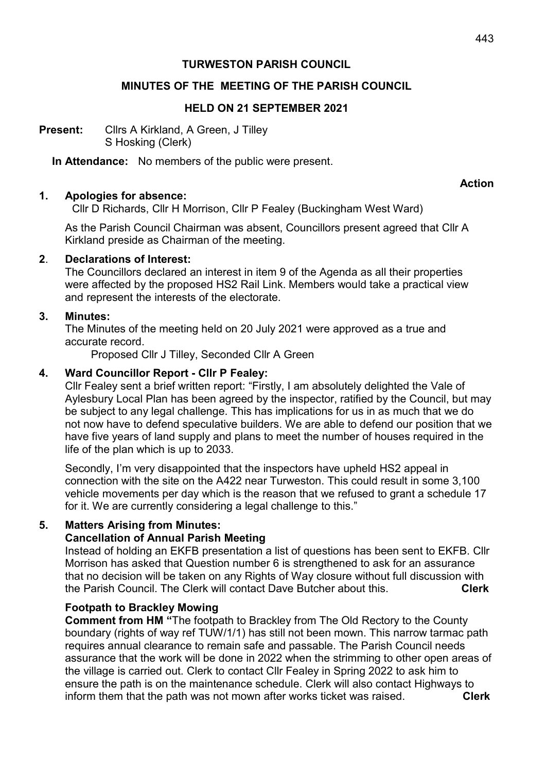## TURWESTON PARISH COUNCIL

### MINUTES OF THE MEETING OF THE PARISH COUNCIL

#### HELD ON 21 SEPTEMBER 2021

Present: Cllrs A Kirkland, A Green, J Tilley S Hosking (Clerk)

In Attendance: No members of the public were present.

#### Action

#### 1. Apologies for absence:

Cllr D Richards, Cllr H Morrison, Cllr P Fealey (Buckingham West Ward)

 As the Parish Council Chairman was absent, Councillors present agreed that Cllr A Kirkland preside as Chairman of the meeting.

#### 2. Declarations of Interest:

 The Councillors declared an interest in item 9 of the Agenda as all their properties were affected by the proposed HS2 Rail Link. Members would take a practical view and represent the interests of the electorate.

#### 3. Minutes:

 The Minutes of the meeting held on 20 July 2021 were approved as a true and accurate record.

Proposed Cllr J Tilley, Seconded Cllr A Green

### 4. Ward Councillor Report - Cllr P Fealey:

Cllr Fealey sent a brief written report: "Firstly, I am absolutely delighted the Vale of Aylesbury Local Plan has been agreed by the inspector, ratified by the Council, but may be subject to any legal challenge. This has implications for us in as much that we do not now have to defend speculative builders. We are able to defend our position that we have five years of land supply and plans to meet the number of houses required in the life of the plan which is up to 2033.

Secondly, I'm very disappointed that the inspectors have upheld HS2 appeal in connection with the site on the A422 near Turweston. This could result in some 3,100 vehicle movements per day which is the reason that we refused to grant a schedule 17 for it. We are currently considering a legal challenge to this."

### 5. Matters Arising from Minutes:

### Cancellation of Annual Parish Meeting

Instead of holding an EKFB presentation a list of questions has been sent to EKFB. Cllr Morrison has asked that Question number 6 is strengthened to ask for an assurance that no decision will be taken on any Rights of Way closure without full discussion with the Parish Council. The Clerk will contact Dave Butcher about this. **Clerk** 

### Footpath to Brackley Mowing

Comment from HM "The footpath to Brackley from The Old Rectory to the County boundary (rights of way ref TUW/1/1) has still not been mown. This narrow tarmac path requires annual clearance to remain safe and passable. The Parish Council needs assurance that the work will be done in 2022 when the strimming to other open areas of the village is carried out. Clerk to contact Cllr Fealey in Spring 2022 to ask him to ensure the path is on the maintenance schedule. Clerk will also contact Highways to inform them that the path was not mown after works ticket was raised. Clerk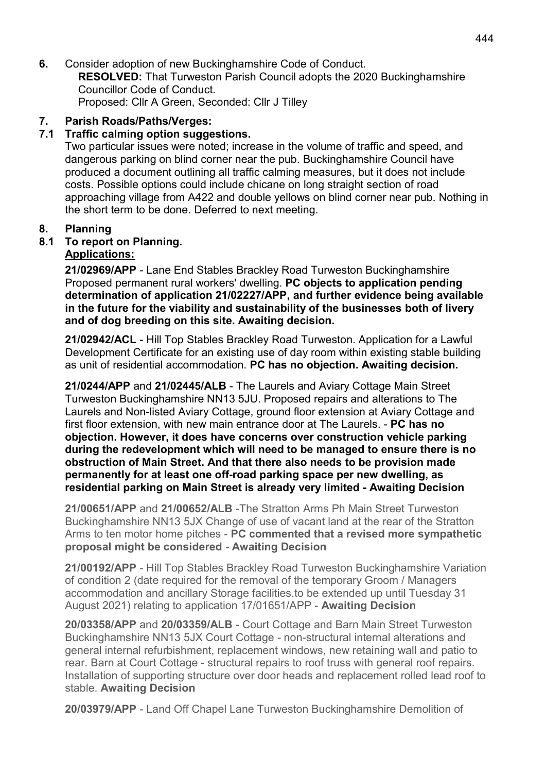6. Consider adoption of new Buckinghamshire Code of Conduct. RESOLVED: That Turweston Parish Council adopts the 2020 Buckinghamshire Councillor Code of Conduct. Proposed: Cllr A Green, Seconded: Cllr J Tilley

7. Parish Roads/Paths/Verges:

## 7.1 Traffic calming option suggestions.

Two particular issues were noted; increase in the volume of traffic and speed, and dangerous parking on blind corner near the pub. Buckinghamshire Council have produced a document outlining all traffic calming measures, but it does not include costs. Possible options could include chicane on long straight section of road approaching village from A422 and double yellows on blind corner near pub. Nothing in the short term to be done. Deferred to next meeting.

## 8. Planning

## 8.1 To report on Planning.

## Applications:

21/02969/APP - Lane End Stables Brackley Road Turweston Buckinghamshire Proposed permanent rural workers' dwelling. PC objects to application pending determination of application 21/02227/APP, and further evidence being available in the future for the viability and sustainability of the businesses both of livery and of dog breeding on this site. Awaiting decision.

 21/02942/ACL - Hill Top Stables Brackley Road Turweston. Application for a Lawful Development Certificate for an existing use of day room within existing stable building as unit of residential accommodation. PC has no objection. Awaiting decision.

21/0244/APP and 21/02445/ALB - The Laurels and Aviary Cottage Main Street Turweston Buckinghamshire NN13 5JU. Proposed repairs and alterations to The Laurels and Non-listed Aviary Cottage, ground floor extension at Aviary Cottage and first floor extension, with new main entrance door at The Laurels. - PC has no objection. However, it does have concerns over construction vehicle parking during the redevelopment which will need to be managed to ensure there is no obstruction of Main Street. And that there also needs to be provision made permanently for at least one off-road parking space per new dwelling, as residential parking on Main Street is already very limited - Awaiting Decision

21/00651/APP and 21/00652/ALB -The Stratton Arms Ph Main Street Turweston Buckinghamshire NN13 5JX Change of use of vacant land at the rear of the Stratton Arms to ten motor home pitches - PC commented that a revised more sympathetic proposal might be considered - Awaiting Decision

21/00192/APP - Hill Top Stables Brackley Road Turweston Buckinghamshire Variation of condition 2 (date required for the removal of the temporary Groom / Managers accommodation and ancillary Storage facilities.to be extended up until Tuesday 31 August 2021) relating to application 17/01651/APP - Awaiting Decision

20/03358/APP and 20/03359/ALB - Court Cottage and Barn Main Street Turweston Buckinghamshire NN13 5JX Court Cottage - non-structural internal alterations and general internal refurbishment, replacement windows, new retaining wall and patio to rear. Barn at Court Cottage - structural repairs to roof truss with general roof repairs. Installation of supporting structure over door heads and replacement rolled lead roof to stable. Awaiting Decision

20/03979/APP - Land Off Chapel Lane Turweston Buckinghamshire Demolition of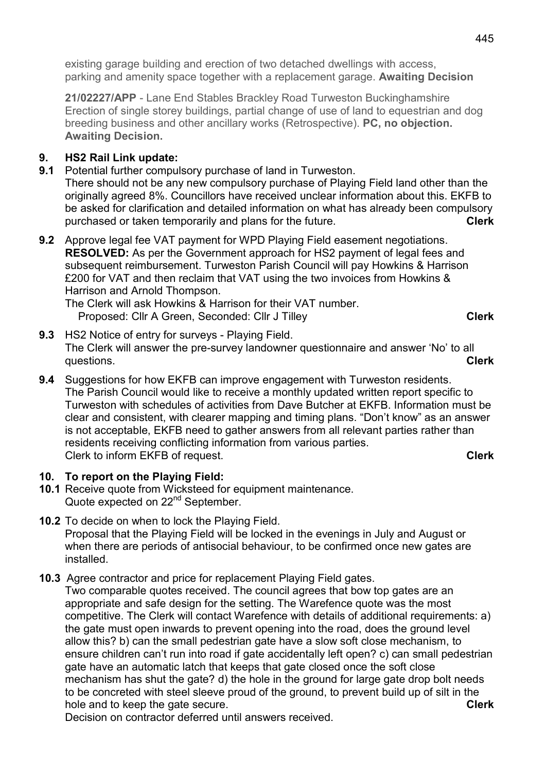existing garage building and erection of two detached dwellings with access, parking and amenity space together with a replacement garage. Awaiting Decision

 21/02227/APP - Lane End Stables Brackley Road Turweston Buckinghamshire Erection of single storey buildings, partial change of use of land to equestrian and dog breeding business and other ancillary works (Retrospective). PC, no objection. Awaiting Decision.

# 9. HS2 Rail Link update:

9.1 Potential further compulsory purchase of land in Turweston.

 There should not be any new compulsory purchase of Playing Field land other than the originally agreed 8%. Councillors have received unclear information about this. EKFB to be asked for clarification and detailed information on what has already been compulsory purchased or taken temporarily and plans for the future.

9.2 Approve legal fee VAT payment for WPD Playing Field easement negotiations. RESOLVED: As per the Government approach for HS2 payment of legal fees and subsequent reimbursement. Turweston Parish Council will pay Howkins & Harrison £200 for VAT and then reclaim that VAT using the two invoices from Howkins & Harrison and Arnold Thompson.

The Clerk will ask Howkins & Harrison for their VAT number. Proposed: Cllr A Green, Seconded: Cllr J Tilley Clerk Clerk

- 9.3 HS2 Notice of entry for surveys Playing Field. The Clerk will answer the pre-survey landowner questionnaire and answer 'No' to all questions. Clerk and the contract of the contract of the contract of the contract of the contract of the contract of the contract of the contract of the contract of the contract of the contract of the contract of the contr
- 9.4 Suggestions for how EKFB can improve engagement with Turweston residents. The Parish Council would like to receive a monthly updated written report specific to Turweston with schedules of activities from Dave Butcher at EKFB. Information must be clear and consistent, with clearer mapping and timing plans. "Don't know" as an answer is not acceptable, EKFB need to gather answers from all relevant parties rather than residents receiving conflicting information from various parties. Clerk to inform EKFB of request. Clerk and the clerk of the clerk clerk clerk

## 10. To report on the Playing Field:

- 10.1 Receive quote from Wicksteed for equipment maintenance. Quote expected on 22<sup>nd</sup> September.
- 10.2 To decide on when to lock the Playing Field. Proposal that the Playing Field will be locked in the evenings in July and August or when there are periods of antisocial behaviour, to be confirmed once new gates are installed.
- 10.3 Agree contractor and price for replacement Playing Field gates.

 Two comparable quotes received. The council agrees that bow top gates are an appropriate and safe design for the setting. The Warefence quote was the most competitive. The Clerk will contact Warefence with details of additional requirements: a) the gate must open inwards to prevent opening into the road, does the ground level allow this? b) can the small pedestrian gate have a slow soft close mechanism, to ensure children can't run into road if gate accidentally left open? c) can small pedestrian gate have an automatic latch that keeps that gate closed once the soft close mechanism has shut the gate? d) the hole in the ground for large gate drop bolt needs to be concreted with steel sleeve proud of the ground, to prevent build up of silt in the hole and to keep the gate secure. Clerk and the gate secure.

Decision on contractor deferred until answers received.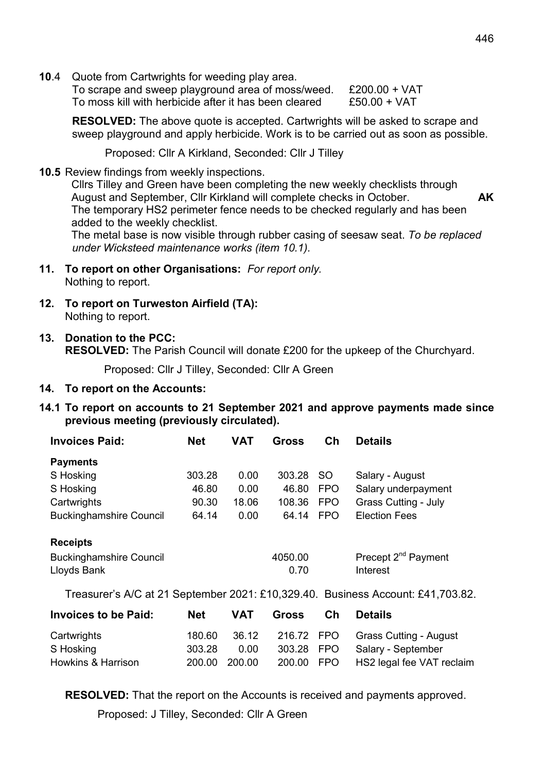10.4 Quote from Cartwrights for weeding play area.

 To scrape and sweep playground area of moss/weed. £200.00 + VAT To moss kill with herbicide after it has been cleared £50.00 + VAT

RESOLVED: The above quote is accepted. Cartwrights will be asked to scrape and sweep playground and apply herbicide. Work is to be carried out as soon as possible.

Proposed: Cllr A Kirkland, Seconded: Cllr J Tilley

10.5 Review findings from weekly inspections.

Cllrs Tilley and Green have been completing the new weekly checklists through August and September, Cllr Kirkland will complete checks in October. AK The temporary HS2 perimeter fence needs to be checked regularly and has been added to the weekly checklist. The metal base is now visible through rubber casing of seesaw seat. To be replaced

under Wicksteed maintenance works (item 10.1).

- 11. To report on other Organisations: For report only. Nothing to report.
- 12. To report on Turweston Airfield (TA): Nothing to report.
- 13. Donation to the PCC:

RESOLVED: The Parish Council will donate £200 for the upkeep of the Churchyard.

Proposed: Cllr J Tilley, Seconded: Cllr A Green

### 14. To report on the Accounts:

14.1 To report on accounts to 21 September 2021 and approve payments made since previous meeting (previously circulated).

| <b>Invoices Paid:</b>          | <b>Net</b> | VAT   | Gross   | $\mathsf{c}_{\mathsf{h}}$ | <b>Details</b>                  |
|--------------------------------|------------|-------|---------|---------------------------|---------------------------------|
| <b>Payments</b>                |            |       |         |                           |                                 |
| S Hosking                      | 303.28     | 0.00  | 303.28  | <sub>SO</sub>             | Salary - August                 |
| S Hosking                      | 46.80      | 0.00  | 46.80   | <b>FPO</b>                | Salary underpayment             |
| Cartwrights                    | 90.30      | 18.06 | 108.36  | <b>FPO</b>                | <b>Grass Cutting - July</b>     |
| <b>Buckinghamshire Council</b> | 64.14      | 0.00  | 64.14   | <b>FPO</b>                | <b>Election Fees</b>            |
| <b>Receipts</b>                |            |       |         |                           |                                 |
| <b>Buckinghamshire Council</b> |            |       | 4050.00 |                           | Precept 2 <sup>nd</sup> Payment |
| Lloyds Bank                    |            |       | 0.70    |                           | Interest                        |

Treasurer's A/C at 21 September 2021: £10,329.40. Business Account: £41,703.82.

| <b>Invoices to be Paid:</b> | Net           | VAT   | <b>Gross</b> | Ch | <b>Details</b>            |
|-----------------------------|---------------|-------|--------------|----|---------------------------|
| Cartwrights                 | 180.60        | 36.12 | 216.72 FPO   |    | Grass Cutting - August    |
| S Hosking                   | 303.28        | 0.00  | 303.28 FPO   |    | Salary - September        |
| Howkins & Harrison          | 200.00 200.00 |       | 200.00 FPO   |    | HS2 legal fee VAT reclaim |

RESOLVED: That the report on the Accounts is received and payments approved.

Proposed: J Tilley, Seconded: Cllr A Green